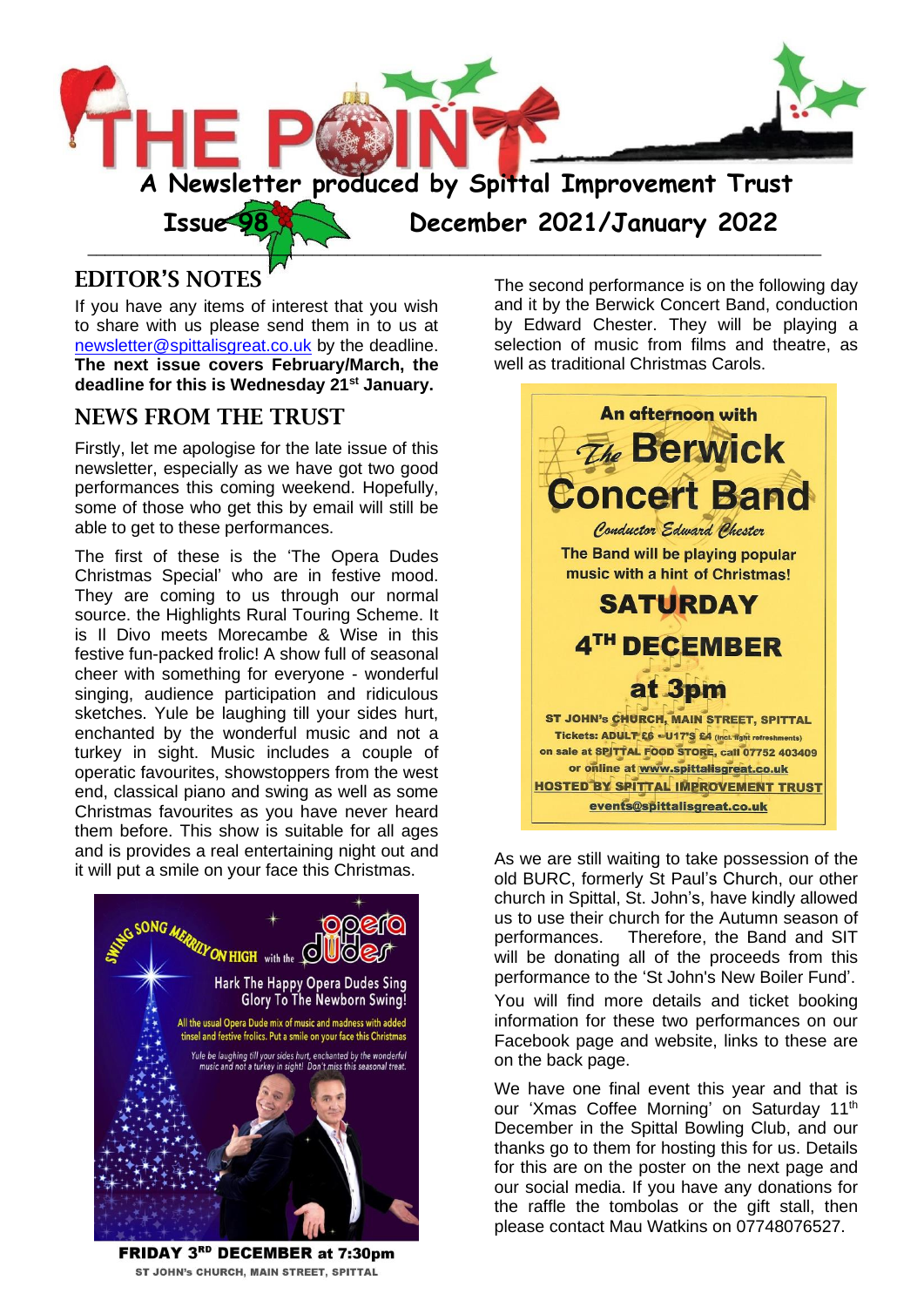

### EDITOR'S NOTES

If you have any items of interest that you wish to share with us please send them in to us at [newsletter@spittalisgreat.co.uk](mailto:newsletter@spittalisgreat.co.uk) by the deadline. **The next issue covers February/March, the deadline for this is Wednesday 21st January.**

### NEWS FROM THE TRUST

Firstly, let me apologise for the late issue of this newsletter, especially as we have got two good performances this coming weekend. Hopefully, some of those who get this by email will still be able to get to these performances.

The first of these is the 'The Opera Dudes Christmas Special' who are in festive mood. They are coming to us through our normal source. the Highlights Rural Touring Scheme. It is Il Divo meets Morecambe & Wise in this festive fun-packed frolic! A show full of seasonal cheer with something for everyone - wonderful singing, audience participation and ridiculous sketches. Yule be laughing till your sides hurt, enchanted by the wonderful music and not a turkey in sight. Music includes a couple of operatic favourites, showstoppers from the west end, classical piano and swing as well as some Christmas favourites as you have never heard them before. This show is suitable for all ages and is provides a real entertaining night out and it will put a smile on your face this Christmas.



FRIDAY 3RD DECEMBER at 7:30pm ST JOHN's CHURCH, MAIN STREET, SPITTAL

The second performance is on the following day and it by the Berwick Concert Band, conduction by Edward Chester. They will be playing a selection of music from films and theatre, as well as traditional Christmas Carols.



As we are still waiting to take possession of the old BURC, formerly St Paul's Church, our other church in Spittal, St. John's, have kindly allowed us to use their church for the Autumn season of performances. Therefore, the Band and SIT will be donating all of the proceeds from this performance to the 'St John's New Boiler Fund'. You will find more details and ticket booking information for these two performances on our Facebook page and website, links to these are on the back page.

We have one final event this year and that is our 'Xmas Coffee Morning' on Saturday 11<sup>th</sup> December in the Spittal Bowling Club, and our thanks go to them for hosting this for us. Details for this are on the poster on the next page and our social media. If you have any donations for the raffle the tombolas or the gift stall, then please contact Mau Watkins on 07748076527.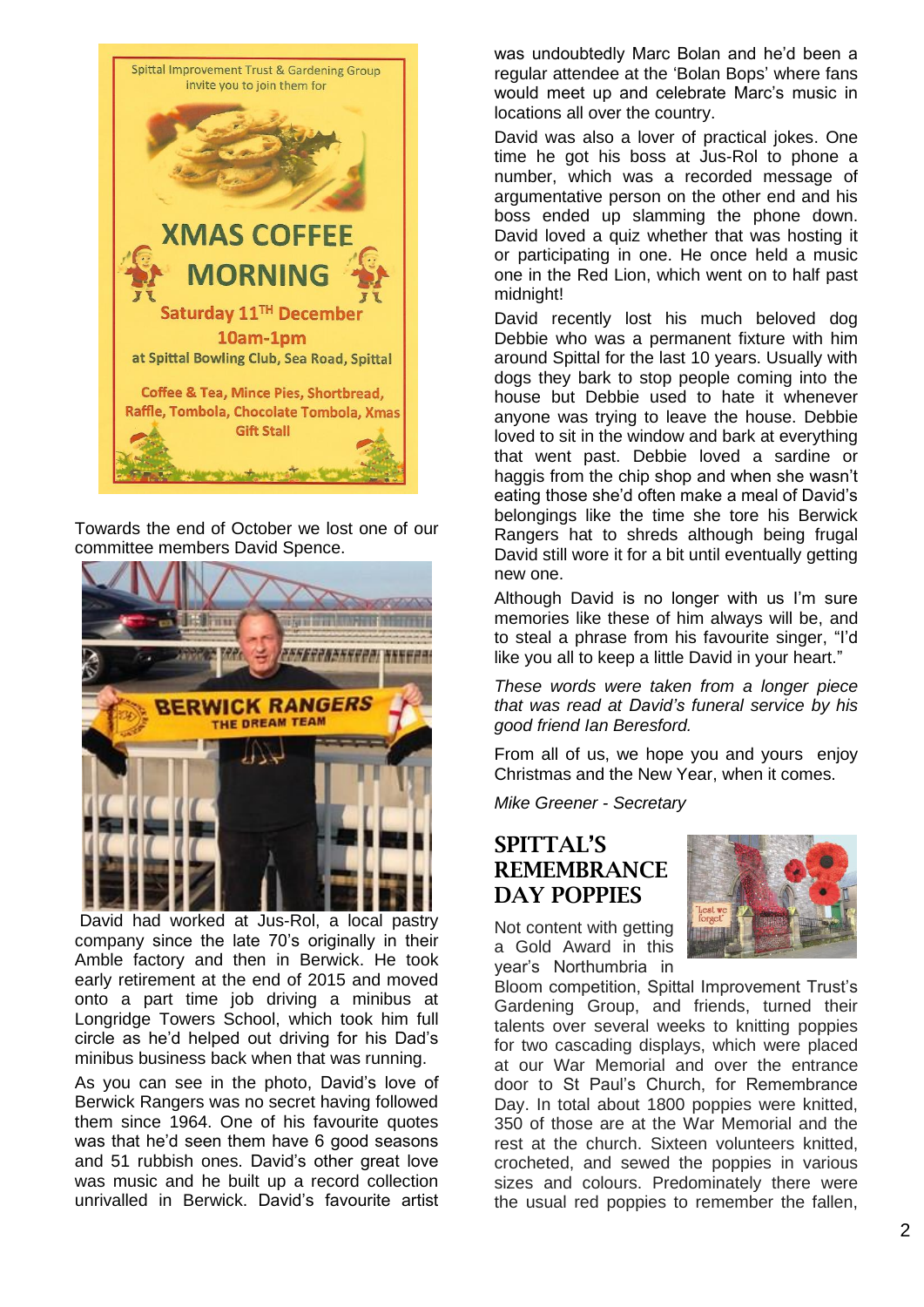

Towards the end of October we lost one of our committee members David Spence.



David had worked at Jus-Rol, a local pastry company since the late 70's originally in their Amble factory and then in Berwick. He took early retirement at the end of 2015 and moved onto a part time job driving a minibus at Longridge Towers School, which took him full circle as he'd helped out driving for his Dad's minibus business back when that was running.

As you can see in the photo, David's love of Berwick Rangers was no secret having followed them since 1964. One of his favourite quotes was that he'd seen them have 6 good seasons and 51 rubbish ones. David's other great love was music and he built up a record collection unrivalled in Berwick. David's favourite artist was undoubtedly Marc Bolan and he'd been a regular attendee at the 'Bolan Bops' where fans would meet up and celebrate Marc's music in locations all over the country.

David was also a lover of practical jokes. One time he got his boss at Jus-Rol to phone a number, which was a recorded message of argumentative person on the other end and his boss ended up slamming the phone down. David loved a quiz whether that was hosting it or participating in one. He once held a music one in the Red Lion, which went on to half past midnight!

David recently lost his much beloved dog Debbie who was a permanent fixture with him around Spittal for the last 10 years. Usually with dogs they bark to stop people coming into the house but Debbie used to hate it whenever anyone was trying to leave the house. Debbie loved to sit in the window and bark at everything that went past. Debbie loved a sardine or haggis from the chip shop and when she wasn't eating those she'd often make a meal of David's belongings like the time she tore his Berwick Rangers hat to shreds although being frugal David still wore it for a bit until eventually getting new one.

Although David is no longer with us I'm sure memories like these of him always will be, and to steal a phrase from his favourite singer, "I'd like you all to keep a little David in your heart."

*These words were taken from a longer piece that was read at David's funeral service by his good friend Ian Beresford.*

From all of us, we hope you and yours enjoy Christmas and the New Year, when it comes.

*Mike Greener - Secretary*

# SPITTAL'S REMEMBRANCE DAY POPPIES

Not content with getting a Gold Award in this year's Northumbria in



Bloom competition, Spittal Improvement Trust's Gardening Group, and friends, turned their talents over several weeks to knitting poppies for two cascading displays, which were placed at our War Memorial and over the entrance door to St Paul's Church, for Remembrance Day. In total about 1800 poppies were knitted, 350 of those are at the War Memorial and the rest at the church. Sixteen volunteers knitted, crocheted, and sewed the poppies in various sizes and colours. Predominately there were the usual red poppies to remember the fallen,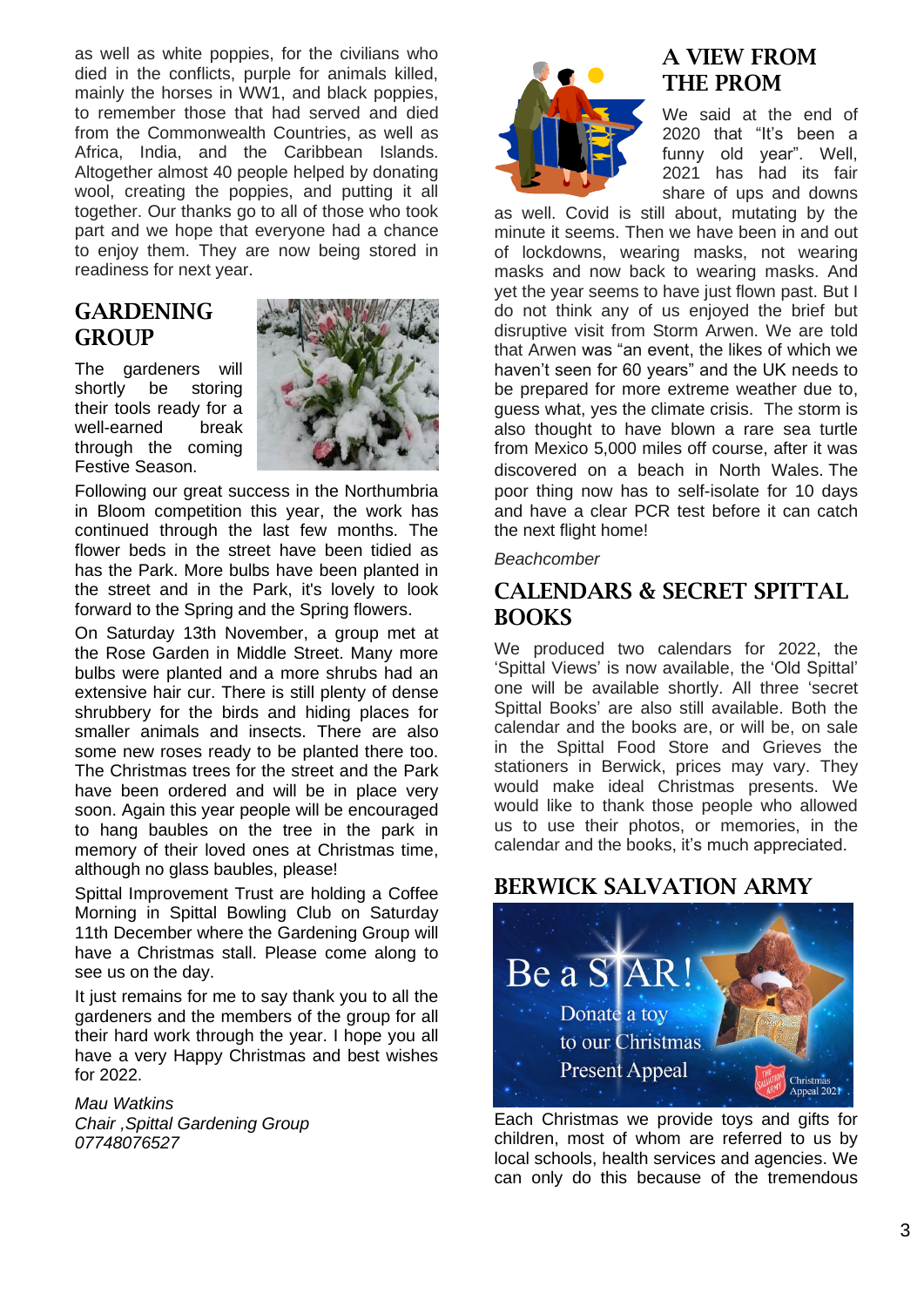as well as white poppies, for the civilians who died in the conflicts, purple for animals killed, mainly the horses in WW1, and black poppies, to remember those that had served and died from the Commonwealth Countries, as well as Africa, India, and the Caribbean Islands. Altogether almost 40 people helped by donating wool, creating the poppies, and putting it all together. Our thanks go to all of those who took part and we hope that everyone had a chance to enjoy them. They are now being stored in readiness for next year.

## GARDENING **GROUP**

The gardeners will shortly be storing their tools ready for a well-earned break through the coming Festive Season.



Following our great success in the Northumbria in Bloom competition this year, the work has continued through the last few months. The flower beds in the street have been tidied as has the Park. More bulbs have been planted in the street and in the Park, it's lovely to look forward to the Spring and the Spring flowers.

On Saturday 13th November, a group met at the Rose Garden in Middle Street. Many more bulbs were planted and a more shrubs had an extensive hair cur. There is still plenty of dense shrubbery for the birds and hiding places for smaller animals and insects. There are also some new roses ready to be planted there too. The Christmas trees for the street and the Park have been ordered and will be in place very soon. Again this year people will be encouraged to hang baubles on the tree in the park in memory of their loved ones at Christmas time, although no glass baubles, please!

Spittal Improvement Trust are holding a Coffee Morning in Spittal Bowling Club on Saturday 11th December where the Gardening Group will have a Christmas stall. Please come along to see us on the day.

It just remains for me to say thank you to all the gardeners and the members of the group for all their hard work through the year. I hope you all have a very Happy Christmas and best wishes for 2022.

*Mau Watkins Chair ,Spittal Gardening Group 07748076527*



# A VIEW FROM THE PROM

We said at the end of 2020 that "It's been a funny old year". Well, 2021 has had its fair share of ups and downs

as well. Covid is still about, mutating by the minute it seems. Then we have been in and out of lockdowns, wearing masks, not wearing masks and now back to wearing masks. And yet the year seems to have just flown past. But I do not think any of us enjoyed the brief but disruptive visit from Storm Arwen. We are told that Arwen was "an event, the likes of which we haven't seen for 60 years" and the UK needs to be prepared for more extreme weather due to, guess what, yes the climate crisis. The storm is also thought to have blown a rare sea turtle from Mexico 5,000 miles off course, after it was discovered on a beach in North Wales. The poor thing now has to self-isolate for 10 days and have a clear PCR test before it can catch the next flight home!

#### *Beachcomber*

### CALENDARS & SECRET SPITTAL BOOKS

We produced two calendars for 2022, the 'Spittal Views' is now available, the 'Old Spittal' one will be available shortly. All three 'secret Spittal Books' are also still available. Both the calendar and the books are, or will be, on sale in the Spittal Food Store and Grieves the stationers in Berwick, prices may vary. They would make ideal Christmas presents. We would like to thank those people who allowed us to use their photos, or memories, in the calendar and the books, it's much appreciated.

### BERWICK SALVATION ARMY



Each Christmas we provide toys and gifts for children, most of whom are referred to us by local schools, health services and agencies. We can only do this because of the tremendous